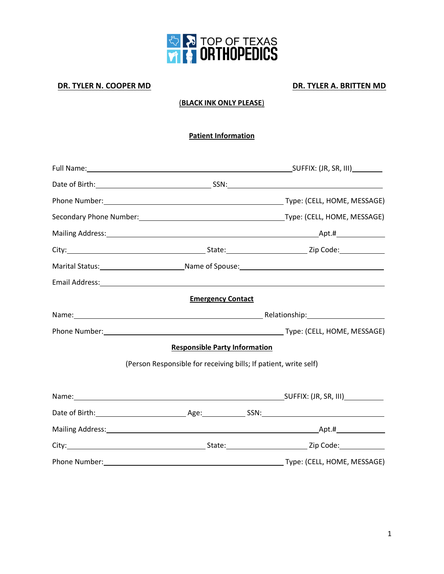

### **DR. TYLER N. COOPER MD DR. TYLER A. BRITTEN MD**

### (**BLACK INK ONLY PLEASE**)

#### **Patient Information**

|                                                                  | Secondary Phone Number: 1990 March 2010 March 2010 March 2010 March 2010 March 2010 March 2010 March 2010 Marc                                                                                                                 |
|------------------------------------------------------------------|--------------------------------------------------------------------------------------------------------------------------------------------------------------------------------------------------------------------------------|
|                                                                  |                                                                                                                                                                                                                                |
|                                                                  |                                                                                                                                                                                                                                |
|                                                                  |                                                                                                                                                                                                                                |
|                                                                  | Email Address: 1988 and 2008 and 2008 and 2008 and 2008 and 2008 and 2008 and 2008 and 2008 and 2008 and 2008                                                                                                                  |
| <b>Emergency Contact</b>                                         |                                                                                                                                                                                                                                |
|                                                                  | Name: Name and Alliance and Alliance and Alliance and Alliance and Alliance and Alliance and Alliance and Alliance and Alliance and Alliance and Alliance and Alliance and Alliance and Alliance and Alliance and Alliance and |
|                                                                  |                                                                                                                                                                                                                                |
| <b>Responsible Party Information</b>                             |                                                                                                                                                                                                                                |
| (Person Responsible for receiving bills; If patient, write self) |                                                                                                                                                                                                                                |
|                                                                  |                                                                                                                                                                                                                                |
|                                                                  |                                                                                                                                                                                                                                |
|                                                                  |                                                                                                                                                                                                                                |
|                                                                  |                                                                                                                                                                                                                                |
|                                                                  |                                                                                                                                                                                                                                |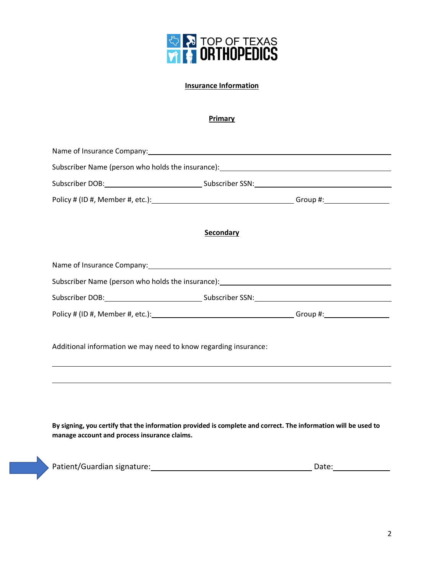

#### **Insurance Information**

#### **Primary**

| Name of Insurance Company: Name of Insurance Company and Company and Company and Company and Company and Company                                               |                                                                                                                    |  |  |  |
|----------------------------------------------------------------------------------------------------------------------------------------------------------------|--------------------------------------------------------------------------------------------------------------------|--|--|--|
|                                                                                                                                                                | Subscriber Name (person who holds the insurance): _______________________________                                  |  |  |  |
|                                                                                                                                                                |                                                                                                                    |  |  |  |
|                                                                                                                                                                |                                                                                                                    |  |  |  |
|                                                                                                                                                                | Secondary                                                                                                          |  |  |  |
|                                                                                                                                                                |                                                                                                                    |  |  |  |
|                                                                                                                                                                | Subscriber Name (person who holds the insurance): [14] Management Controller Name (person who holds the insurance) |  |  |  |
|                                                                                                                                                                |                                                                                                                    |  |  |  |
|                                                                                                                                                                |                                                                                                                    |  |  |  |
| Additional information we may need to know regarding insurance:                                                                                                |                                                                                                                    |  |  |  |
|                                                                                                                                                                |                                                                                                                    |  |  |  |
| By signing, you certify that the information provided is complete and correct. The information will be used to<br>manage account and process insurance claims. |                                                                                                                    |  |  |  |
|                                                                                                                                                                |                                                                                                                    |  |  |  |
|                                                                                                                                                                | Patient/Guardian signature: 1988 1997 1998 1998 1999 1998 1999 1998 1999 1998 1999 1998 1999 1998 1999 1999 1      |  |  |  |

 $\overline{\phantom{a}}$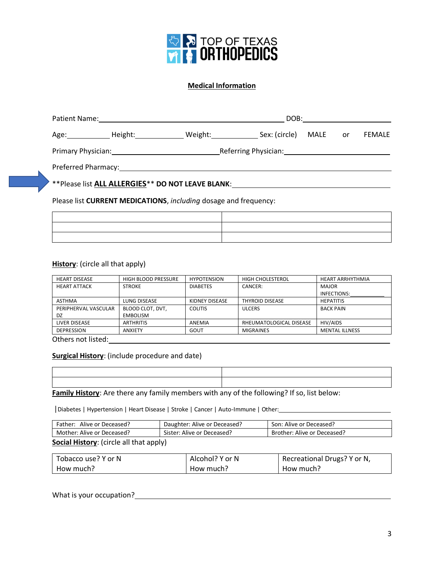

#### **Medical Information**

|  |                                                               |                                                                                                                                                                                                                                | DOB: __________________                                         |  |               |  |
|--|---------------------------------------------------------------|--------------------------------------------------------------------------------------------------------------------------------------------------------------------------------------------------------------------------------|-----------------------------------------------------------------|--|---------------|--|
|  |                                                               | Age: Meight: Meight: Network Sex: (circle)<br>MALE or                                                                                                                                                                          |                                                                 |  | <b>FEMALE</b> |  |
|  | Primary Physician: New York Changes and Separate Section 2014 |                                                                                                                                                                                                                                | Referring Physician: Manual Account of the Referring Physician: |  |               |  |
|  |                                                               | Preferred Pharmacy: The contract of the contract of the contract of the contract of the contract of the contract of the contract of the contract of the contract of the contract of the contract of the contract of the contra |                                                                 |  |               |  |
|  |                                                               | **Please list ALL ALLERGIES** DO NOT LEAVE BLANK:                                                                                                                                                                              |                                                                 |  |               |  |
|  |                                                               | Please list CURRENT MEDICATIONS, including dosage and frequency:                                                                                                                                                               |                                                                 |  |               |  |

#### **History**: (circle all that apply)

| <b>HEART DISEASE</b> | <b>HIGH BLOOD PRESSURE</b> | <b>HYPOTENSION</b> | HIGH CHOLESTEROL        | <b>HEART ARRHYTHMIA</b> |
|----------------------|----------------------------|--------------------|-------------------------|-------------------------|
| <b>HEART ATTACK</b>  | <b>STROKE</b>              | <b>DIABETES</b>    | CANCER:                 | <b>MAJOR</b>            |
|                      |                            |                    |                         | INFECTIONS:             |
| <b>ASTHMA</b>        | LUNG DISEASE               | KIDNEY DISEASE     | <b>THYROID DISEASE</b>  | <b>HEPATITIS</b>        |
| PERIPHERVAL VASCULAR | BLOOD CLOT, DVT,           | <b>COLITIS</b>     | <b>ULCERS</b>           | <b>BACK PAIN</b>        |
| DZ                   | <b>EMBOLISM</b>            |                    |                         |                         |
| LIVER DISEASE        | <b>ARTHRITIS</b>           | ANEMIA             | RHEUMATOLOGICAL DISEASE | <b>HIV/AIDS</b>         |
| <b>DEPRESSION</b>    | <b>ANXIETY</b>             | GOUT               | <b>MIGRAINES</b>        | <b>MENTAL ILLNESS</b>   |
| Others not listed:   |                            |                    |                         |                         |

**Surgical History**: (include procedure and date)

**Family History**: Are there any family members with any of the following? If so, list below:

|Diabetes | Hypertension | Heart Disease | Stroke | Cancer | Auto-Immune | Other:

| Father: Alive or Deceased?              | Daughter: Alive or Deceased? | Son: Alive or Deceased?     |  |  |
|-----------------------------------------|------------------------------|-----------------------------|--|--|
| Mother: Alive or Deceased?              | Sister: Alive or Deceased?   | Brother: Alive or Deceased? |  |  |
| Cocial History: (circle all that annly) |                              |                             |  |  |

#### **Social History**: (circle all that apply)

| Tobacco use? Y or N | Alcohol? Y or N | Recreational Drugs? Y or N, |
|---------------------|-----------------|-----------------------------|
| How much?           | How much?       | How much?                   |

What is your occupation?<br>
<u>
What is your occupation?</u>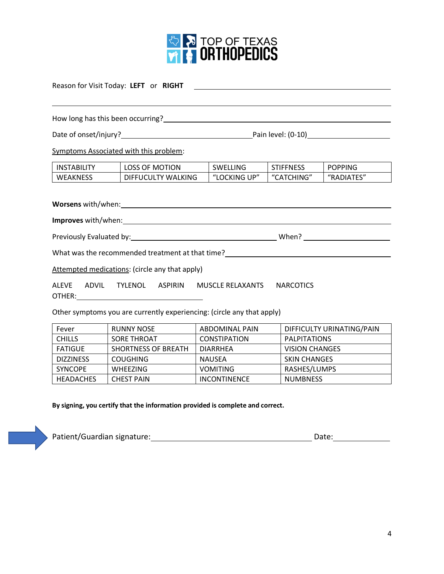

<u> 1980 - Johann Barn, mars ann an t-Amhain Aonaichte ann an t-Aonaichte ann an t-Aonaichte ann an t-Aonaichte a</u>

Reason for Visit Today: **LEFT** or **RIGHT** 

How long has this been occurring?

Date of onset/injury? Pain level: (0-10)

Symptoms Associated with this problem:

| <b>INSTABILITY</b> | <b>LOSS OF MOTION</b>   | SWELLING         | <b>STIFFNESS</b> | <b>POPPING</b> |
|--------------------|-------------------------|------------------|------------------|----------------|
| <b>WEAKNESS</b>    | ' WALKING<br>DIFFUCULTY | 」UP"<br>"LOCKING | "CATCHING"       | "RADIATES"     |

**Worsens** with/when:

 $\overline{\phantom{0}}$ 

**Improves** with/when:

Previously Evaluated by: When?

What was the recommended treatment at that time?<br>
<u>
</u>

Attempted medications: (circle any that apply)

ALEVE ADVIL TYLENOL ASPIRIN MUSCLE RELAXANTS NARCOTICS OTHER:

Other symptoms you are currently experiencing: (circle any that apply)

| Fever            | <b>RUNNY NOSE</b>          | ABDOMINAL PAIN      | DIFFICULTY URINATING/PAIN |
|------------------|----------------------------|---------------------|---------------------------|
| <b>CHILLS</b>    | SORE THROAT                | <b>CONSTIPATION</b> | PALPITATIONS              |
| FATIGUE          | <b>SHORTNESS OF BREATH</b> | <b>DIARRHEA</b>     | <b>VISION CHANGES</b>     |
| <b>DIZZINESS</b> | <b>COUGHING</b>            | NAUSEA              | <b>SKIN CHANGES</b>       |
| <b>SYNCOPE</b>   | <b>WHEEZING</b>            | <b>VOMITING</b>     | RASHES/LUMPS              |
| <b>HEADACHES</b> | <b>CHEST PAIN</b>          | <b>INCONTINENCE</b> | <b>NUMBNESS</b>           |

**By signing, you certify that the information provided is complete and correct.**

| Patient/Guardian signature:<br>Date: |
|--------------------------------------|
|--------------------------------------|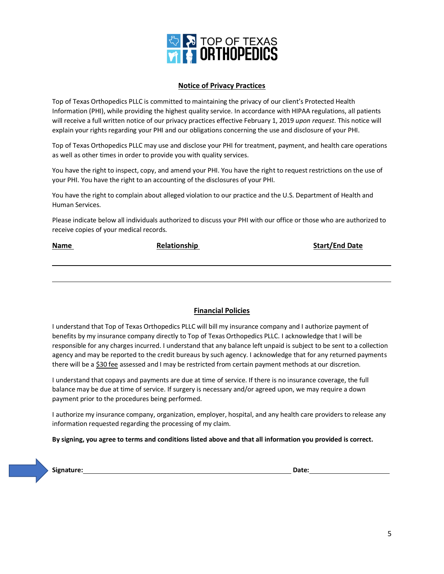

#### **Notice of Privacy Practices**

Top of Texas Orthopedics PLLC is committed to maintaining the privacy of our client's Protected Health Information (PHI), while providing the highest quality service. In accordance with HIPAA regulations, all patients will receive a full written notice of our privacy practices effective February 1, 2019 *upon request*. This notice will explain your rights regarding your PHI and our obligations concerning the use and disclosure of your PHI.

Top of Texas Orthopedics PLLC may use and disclose your PHI for treatment, payment, and health care operations as well as other times in order to provide you with quality services.

You have the right to inspect, copy, and amend your PHI. You have the right to request restrictions on the use of your PHI. You have the right to an accounting of the disclosures of your PHI.

You have the right to complain about alleged violation to our practice and the U.S. Department of Health and Human Services.

Please indicate below all individuals authorized to discuss your PHI with our office or those who are authorized to receive copies of your medical records.

| <b>Name</b> | Relationship | <b>Start/End Date</b> |
|-------------|--------------|-----------------------|
|             |              |                       |
|             |              |                       |
|             |              |                       |

#### **Financial Policies**

I understand that Top of Texas Orthopedics PLLC will bill my insurance company and I authorize payment of benefits by my insurance company directly to Top of Texas Orthopedics PLLC. I acknowledge that I will be responsible for any charges incurred. I understand that any balance left unpaid is subject to be sent to a collection agency and may be reported to the credit bureaus by such agency. I acknowledge that for any returned payments there will be a \$30 fee assessed and I may be restricted from certain payment methods at our discretion.

I understand that copays and payments are due at time of service. If there is no insurance coverage, the full balance may be due at time of service. If surgery is necessary and/or agreed upon, we may require a down payment prior to the procedures being performed.

I authorize my insurance company, organization, employer, hospital, and any health care providers to release any information requested regarding the processing of my claim.

#### **By signing, you agree to terms and conditions listed above and that all information you provided is correct.**